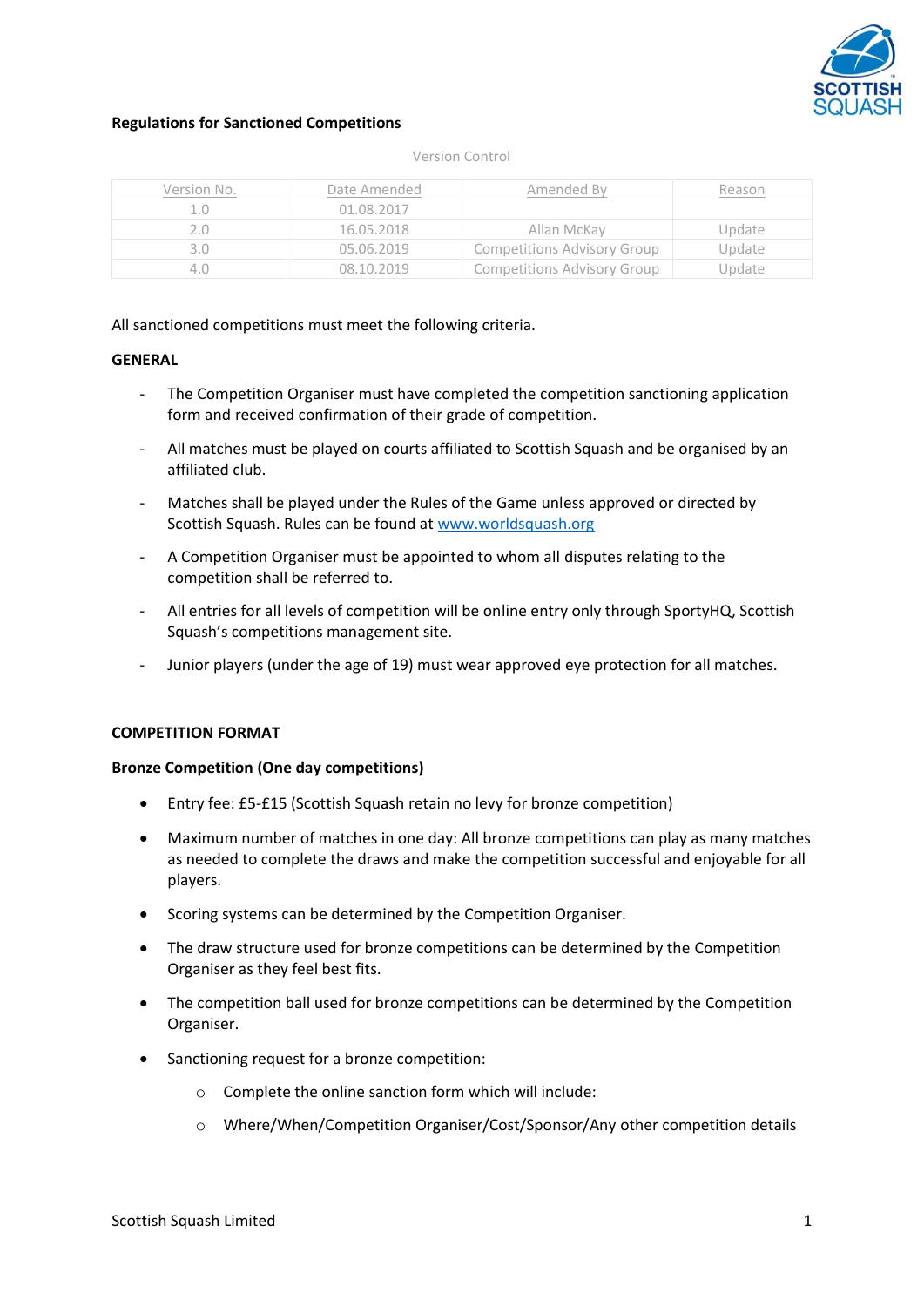

## **Regulations for Sanctioned Competitions**

#### Version Control

| Version No. | Date Amended | Amended By                         | Reason |
|-------------|--------------|------------------------------------|--------|
|             | 01.08.2017   |                                    |        |
|             | 16.05.2018   | Allan McKay                        | Update |
|             | 05.06.2019   | <b>Competitions Advisory Group</b> | Update |
| 40          | 08.10.2019.  | <b>Competitions Advisory Group</b> | Update |

### All sanctioned competitions must meet the following criteria.

#### **GENERAL**

- The Competition Organiser must have completed the competition sanctioning application form and received confirmation of their grade of competition.
- All matches must be played on courts affiliated to Scottish Squash and be organised by an affiliated club.
- Matches shall be played under the Rules of the Game unless approved or directed by Scottish Squash. Rules can be found at [www.worldsquash.org](http://www.worldsquash.org/)
- A Competition Organiser must be appointed to whom all disputes relating to the competition shall be referred to.
- All entries for all levels of competition will be online entry only through SportyHQ, Scottish Squash's competitions management site.
- Junior players (under the age of 19) must wear approved eye protection for all matches.

### **COMPETITION FORMAT**

#### **Bronze Competition (One day competitions)**

- Entry fee: £5-£15 (Scottish Squash retain no levy for bronze competition)
- Maximum number of matches in one day: All bronze competitions can play as many matches as needed to complete the draws and make the competition successful and enjoyable for all players.
- Scoring systems can be determined by the Competition Organiser.
- The draw structure used for bronze competitions can be determined by the Competition Organiser as they feel best fits.
- The competition ball used for bronze competitions can be determined by the Competition Organiser.
- Sanctioning request for a bronze competition:
	- o Complete the online sanction form which will include:
	- o Where/When/Competition Organiser/Cost/Sponsor/Any other competition details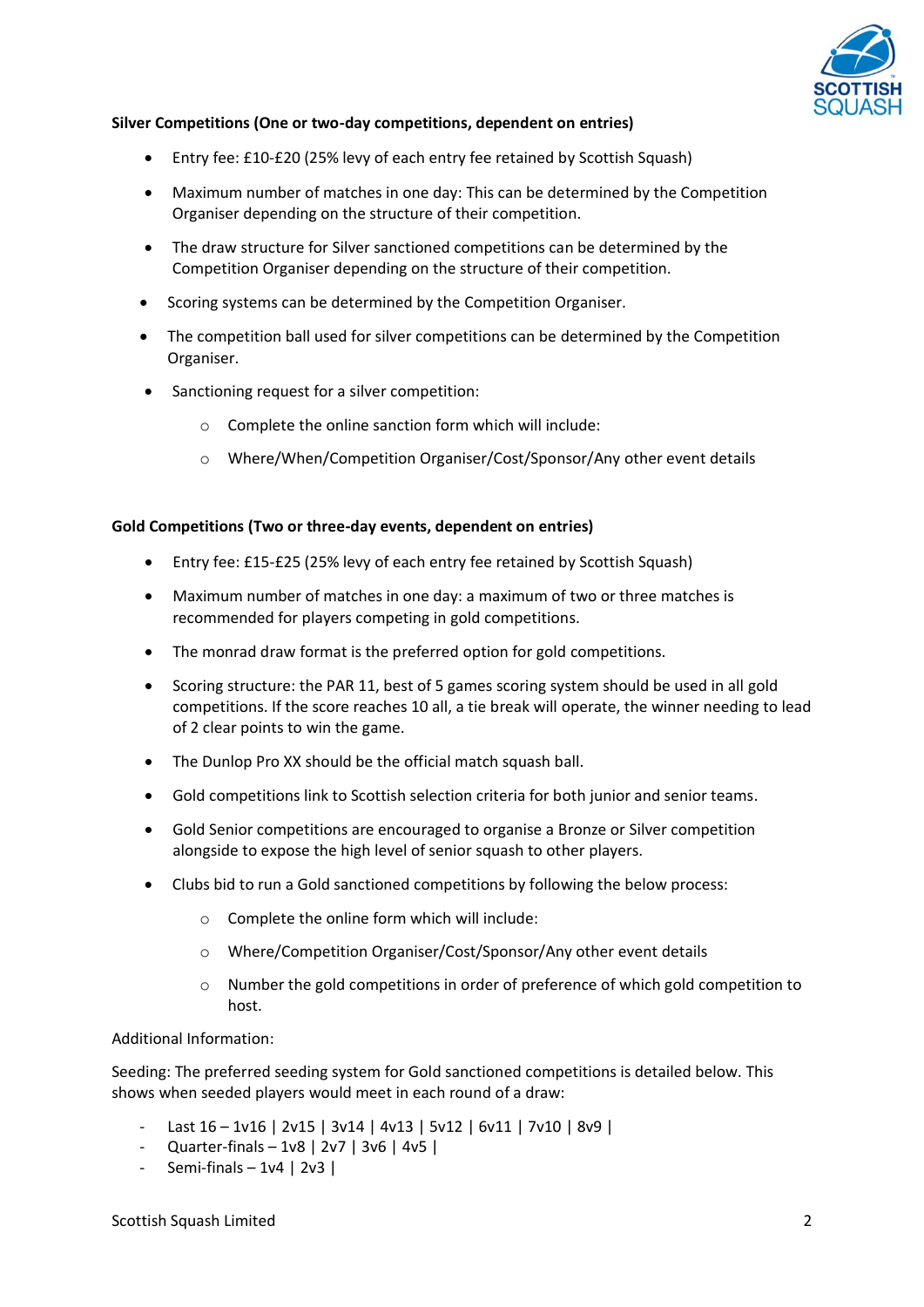

## **Silver Competitions (One or two-day competitions, dependent on entries)**

- Entry fee: £10-£20 (25% levy of each entry fee retained by Scottish Squash)
- Maximum number of matches in one day: This can be determined by the Competition Organiser depending on the structure of their competition.
- The draw structure for Silver sanctioned competitions can be determined by the Competition Organiser depending on the structure of their competition.
- Scoring systems can be determined by the Competition Organiser.
- The competition ball used for silver competitions can be determined by the Competition Organiser.
- Sanctioning request for a silver competition:
	- o Complete the online sanction form which will include:
	- o Where/When/Competition Organiser/Cost/Sponsor/Any other event details

### **Gold Competitions (Two or three-day events, dependent on entries)**

- Entry fee: £15-£25 (25% levy of each entry fee retained by Scottish Squash)
- Maximum number of matches in one day: a maximum of two or three matches is recommended for players competing in gold competitions.
- The monrad draw format is the preferred option for gold competitions.
- Scoring structure: the PAR 11, best of 5 games scoring system should be used in all gold competitions. If the score reaches 10 all, a tie break will operate, the winner needing to lead of 2 clear points to win the game.
- The Dunlop Pro XX should be the official match squash ball.
- Gold competitions link to Scottish selection criteria for both junior and senior teams.
- Gold Senior competitions are encouraged to organise a Bronze or Silver competition alongside to expose the high level of senior squash to other players.
- Clubs bid to run a Gold sanctioned competitions by following the below process:
	- o Complete the online form which will include:
	- o Where/Competition Organiser/Cost/Sponsor/Any other event details
	- o Number the gold competitions in order of preference of which gold competition to host.

### Additional Information:

Seeding: The preferred seeding system for Gold sanctioned competitions is detailed below. This shows when seeded players would meet in each round of a draw:

- Last 16 1v16 | 2v15 | 3v14 | 4v13 | 5v12 | 6v11 | 7v10 | 8v9 |
- Quarter-finals 1v8 | 2v7 | 3v6 | 4v5 |
- Semi-finals 1v4 | 2v3 |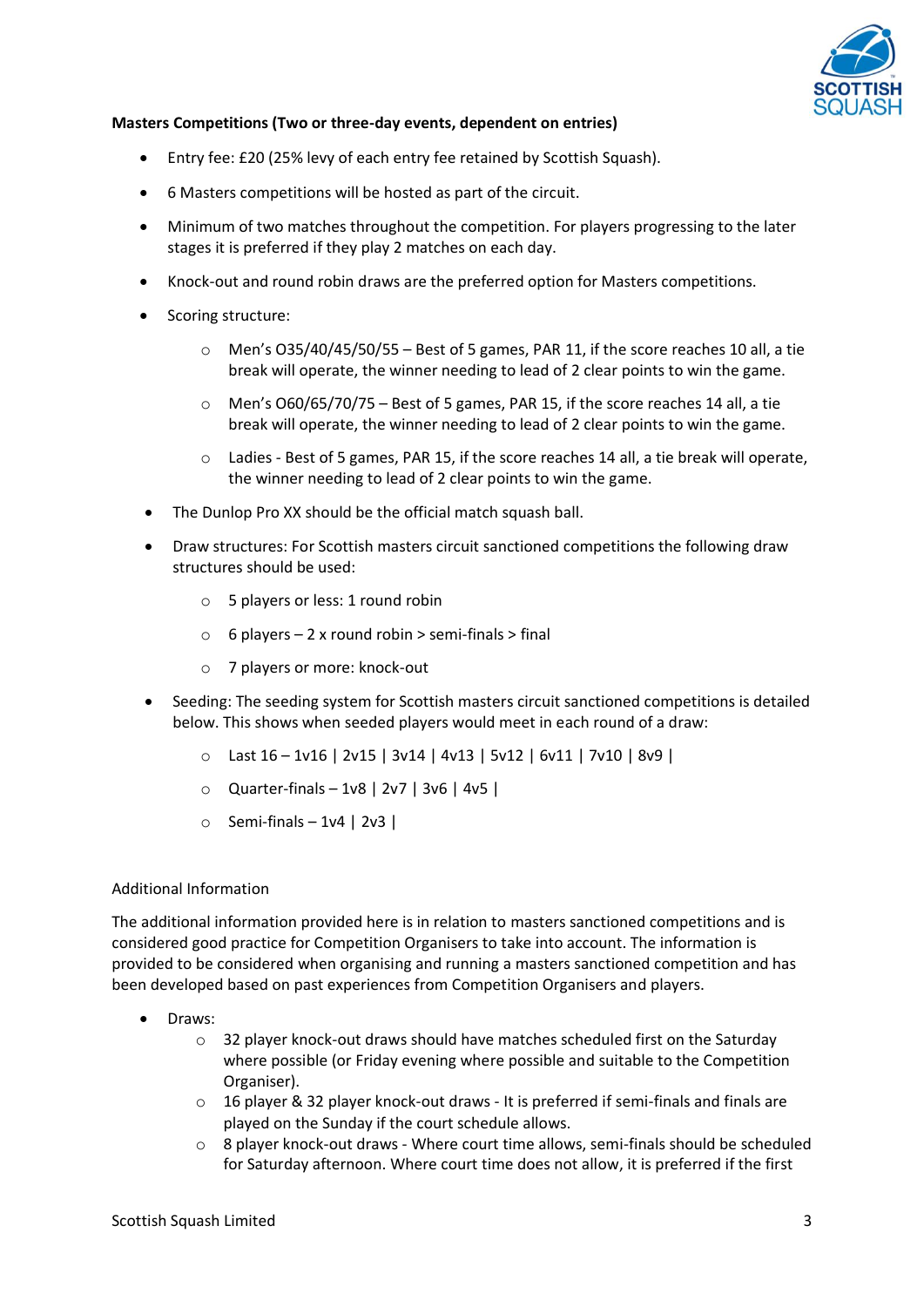

## **Masters Competitions (Two or three-day events, dependent on entries)**

- Entry fee: £20 (25% levy of each entry fee retained by Scottish Squash).
- 6 Masters competitions will be hosted as part of the circuit.
- Minimum of two matches throughout the competition. For players progressing to the later stages it is preferred if they play 2 matches on each day.
- Knock-out and round robin draws are the preferred option for Masters competitions.
- Scoring structure:
	- $\circ$  Men's O35/40/45/50/55 Best of 5 games, PAR 11, if the score reaches 10 all, a tie break will operate, the winner needing to lead of 2 clear points to win the game.
	- $\circ$  Men's O60/65/70/75 Best of 5 games, PAR 15, if the score reaches 14 all, a tie break will operate, the winner needing to lead of 2 clear points to win the game.
	- o Ladies Best of 5 games, PAR 15, if the score reaches 14 all, a tie break will operate, the winner needing to lead of 2 clear points to win the game.
- The Dunlop Pro XX should be the official match squash ball.
- Draw structures: For Scottish masters circuit sanctioned competitions the following draw structures should be used:
	- o 5 players or less: 1 round robin
	- $\circ$  6 players 2 x round robin > semi-finals > final
	- o 7 players or more: knock-out
- Seeding: The seeding system for Scottish masters circuit sanctioned competitions is detailed below. This shows when seeded players would meet in each round of a draw:
	- o Last 16 1v16 | 2v15 | 3v14 | 4v13 | 5v12 | 6v11 | 7v10 | 8v9 |
	- o Quarter-finals 1v8 | 2v7 | 3v6 | 4v5 |
	- $\circ$  Semi-finals 1v4 | 2v3 |

### Additional Information

The additional information provided here is in relation to masters sanctioned competitions and is considered good practice for Competition Organisers to take into account. The information is provided to be considered when organising and running a masters sanctioned competition and has been developed based on past experiences from Competition Organisers and players.

- Draws:
	- o 32 player knock-out draws should have matches scheduled first on the Saturday where possible (or Friday evening where possible and suitable to the Competition Organiser).
	- $\circ$  16 player & 32 player knock-out draws It is preferred if semi-finals and finals are played on the Sunday if the court schedule allows.
	- o 8 player knock-out draws Where court time allows, semi-finals should be scheduled for Saturday afternoon. Where court time does not allow, it is preferred if the first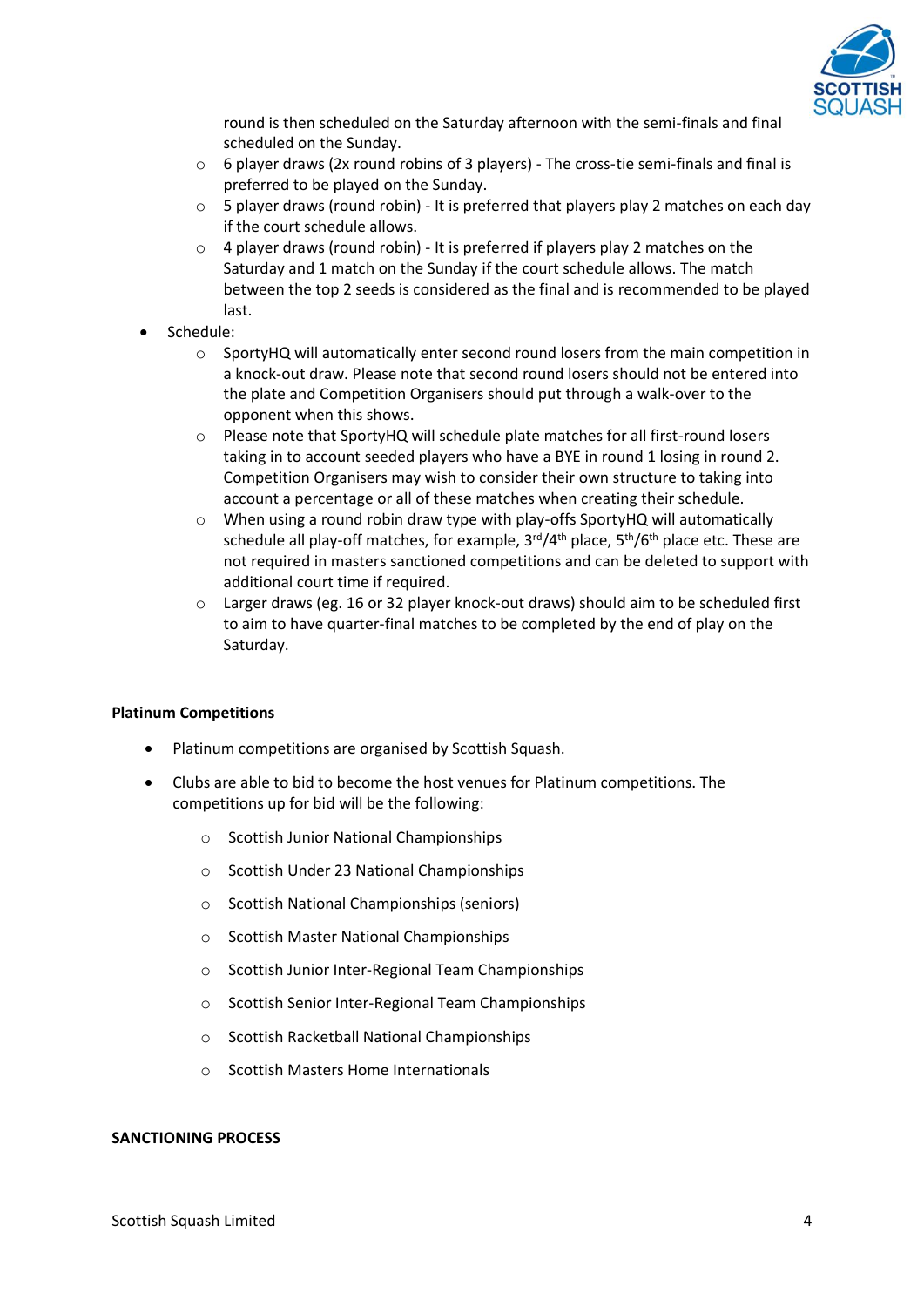

round is then scheduled on the Saturday afternoon with the semi-finals and final scheduled on the Sunday.

- $\circ$  6 player draws (2x round robins of 3 players) The cross-tie semi-finals and final is preferred to be played on the Sunday.
- $\circ$  5 player draws (round robin) It is preferred that players play 2 matches on each day if the court schedule allows.
- $\circ$  4 player draws (round robin) It is preferred if players play 2 matches on the Saturday and 1 match on the Sunday if the court schedule allows. The match between the top 2 seeds is considered as the final and is recommended to be played last.
- Schedule:
	- $\circ$  SportyHQ will automatically enter second round losers from the main competition in a knock-out draw. Please note that second round losers should not be entered into the plate and Competition Organisers should put through a walk-over to the opponent when this shows.
	- o Please note that SportyHQ will schedule plate matches for all first-round losers taking in to account seeded players who have a BYE in round 1 losing in round 2. Competition Organisers may wish to consider their own structure to taking into account a percentage or all of these matches when creating their schedule.
	- $\circ$  When using a round robin draw type with play-offs SportyHQ will automatically schedule all play-off matches, for example, 3<sup>rd</sup>/4<sup>th</sup> place, 5<sup>th</sup>/6<sup>th</sup> place etc. These are not required in masters sanctioned competitions and can be deleted to support with additional court time if required.
	- o Larger draws (eg. 16 or 32 player knock-out draws) should aim to be scheduled first to aim to have quarter-final matches to be completed by the end of play on the Saturday.

### **Platinum Competitions**

- Platinum competitions are organised by Scottish Squash.
- Clubs are able to bid to become the host venues for Platinum competitions. The competitions up for bid will be the following:
	- o Scottish Junior National Championships
	- o Scottish Under 23 National Championships
	- o Scottish National Championships (seniors)
	- o Scottish Master National Championships
	- o Scottish Junior Inter-Regional Team Championships
	- o Scottish Senior Inter-Regional Team Championships
	- o Scottish Racketball National Championships
	- o Scottish Masters Home Internationals

### **SANCTIONING PROCESS**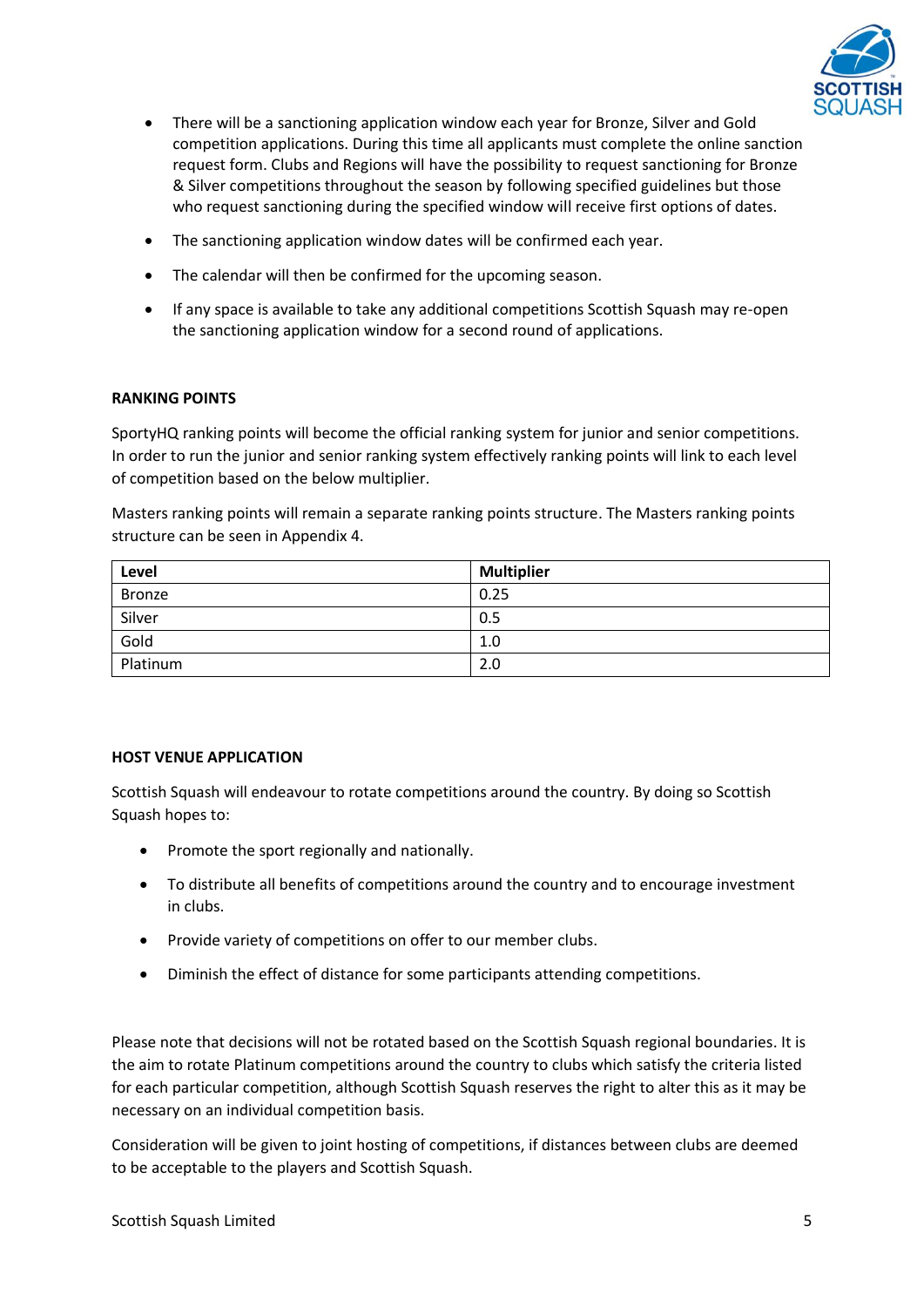

- There will be a sanctioning application window each year for Bronze, Silver and Gold competition applications. During this time all applicants must complete the online sanction request form. Clubs and Regions will have the possibility to request sanctioning for Bronze & Silver competitions throughout the season by following specified guidelines but those who request sanctioning during the specified window will receive first options of dates.
- The sanctioning application window dates will be confirmed each year.
- The calendar will then be confirmed for the upcoming season.
- If any space is available to take any additional competitions Scottish Squash may re-open the sanctioning application window for a second round of applications.

## **RANKING POINTS**

SportyHQ ranking points will become the official ranking system for junior and senior competitions. In order to run the junior and senior ranking system effectively ranking points will link to each level of competition based on the below multiplier.

Masters ranking points will remain a separate ranking points structure. The Masters ranking points structure can be seen in Appendix 4.

| Level         | <b>Multiplier</b> |
|---------------|-------------------|
| <b>Bronze</b> | 0.25              |
| Silver        | 0.5               |
| Gold          | 1.0               |
| Platinum      | 2.0               |

# **HOST VENUE APPLICATION**

Scottish Squash will endeavour to rotate competitions around the country. By doing so Scottish Squash hopes to:

- Promote the sport regionally and nationally.
- To distribute all benefits of competitions around the country and to encourage investment in clubs.
- Provide variety of competitions on offer to our member clubs.
- Diminish the effect of distance for some participants attending competitions.

Please note that decisions will not be rotated based on the Scottish Squash regional boundaries. It is the aim to rotate Platinum competitions around the country to clubs which satisfy the criteria listed for each particular competition, although Scottish Squash reserves the right to alter this as it may be necessary on an individual competition basis.

Consideration will be given to joint hosting of competitions, if distances between clubs are deemed to be acceptable to the players and Scottish Squash.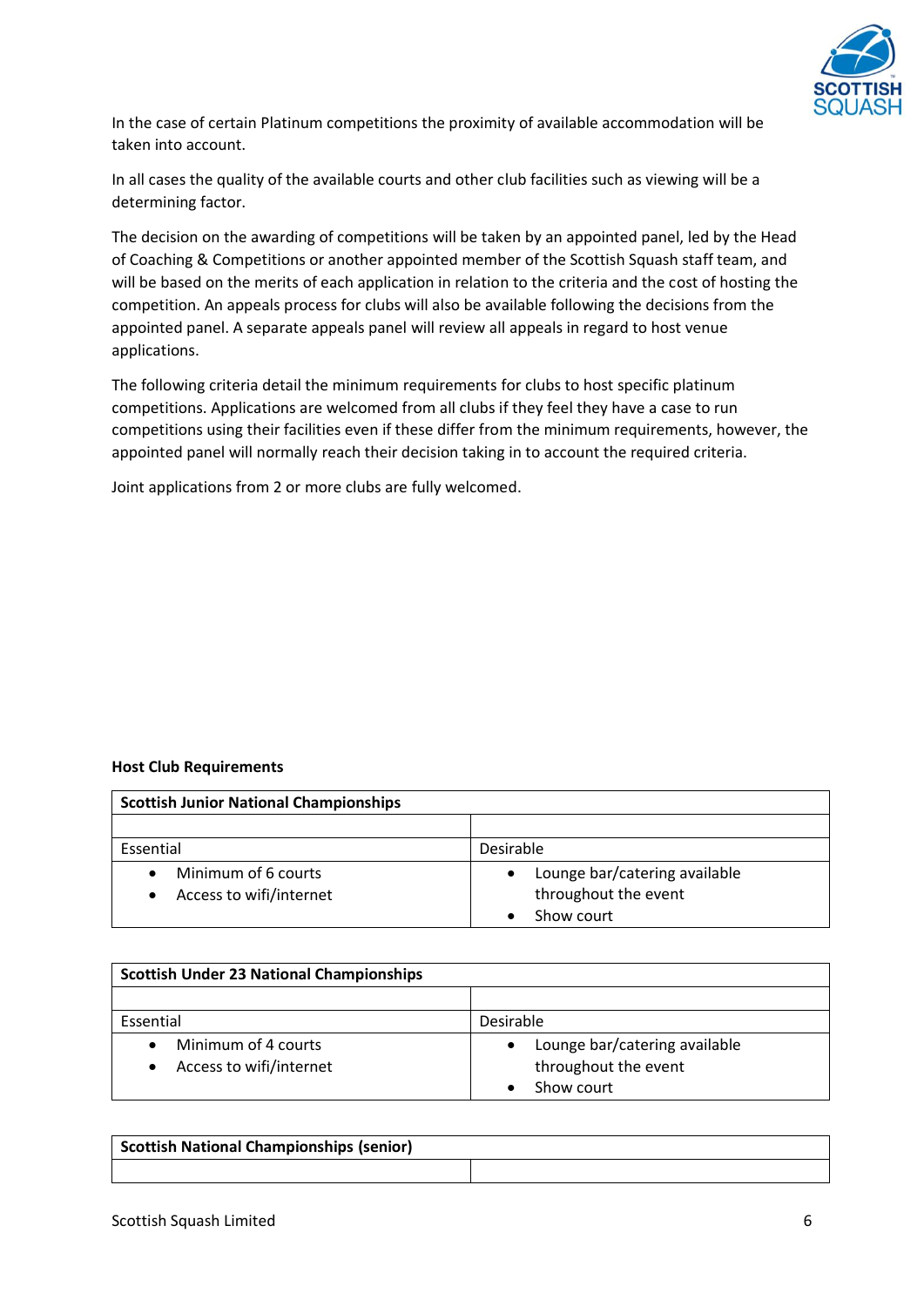

In the case of certain Platinum competitions the proximity of available accommodation will be taken into account.

In all cases the quality of the available courts and other club facilities such as viewing will be a determining factor.

The decision on the awarding of competitions will be taken by an appointed panel, led by the Head of Coaching & Competitions or another appointed member of the Scottish Squash staff team, and will be based on the merits of each application in relation to the criteria and the cost of hosting the competition. An appeals process for clubs will also be available following the decisions from the appointed panel. A separate appeals panel will review all appeals in regard to host venue applications.

The following criteria detail the minimum requirements for clubs to host specific platinum competitions. Applications are welcomed from all clubs if they feel they have a case to run competitions using their facilities even if these differ from the minimum requirements, however, the appointed panel will normally reach their decision taking in to account the required criteria.

Joint applications from 2 or more clubs are fully welcomed.

### **Host Club Requirements**

| <b>Scottish Junior National Championships</b> |                                            |
|-----------------------------------------------|--------------------------------------------|
|                                               |                                            |
| Essential                                     | Desirable                                  |
| Minimum of 6 courts                           | Lounge bar/catering available<br>$\bullet$ |
| Access to wifi/internet                       | throughout the event                       |
|                                               | Show court                                 |

| <b>Scottish Under 23 National Championships</b> |                                                                                  |
|-------------------------------------------------|----------------------------------------------------------------------------------|
|                                                 |                                                                                  |
| Essential                                       | Desirable                                                                        |
| Minimum of 4 courts<br>Access to wifi/internet  | Lounge bar/catering available<br>$\bullet$<br>throughout the event<br>Show court |

| <b>Scottish National Championships (senior)</b> |  |
|-------------------------------------------------|--|
|                                                 |  |